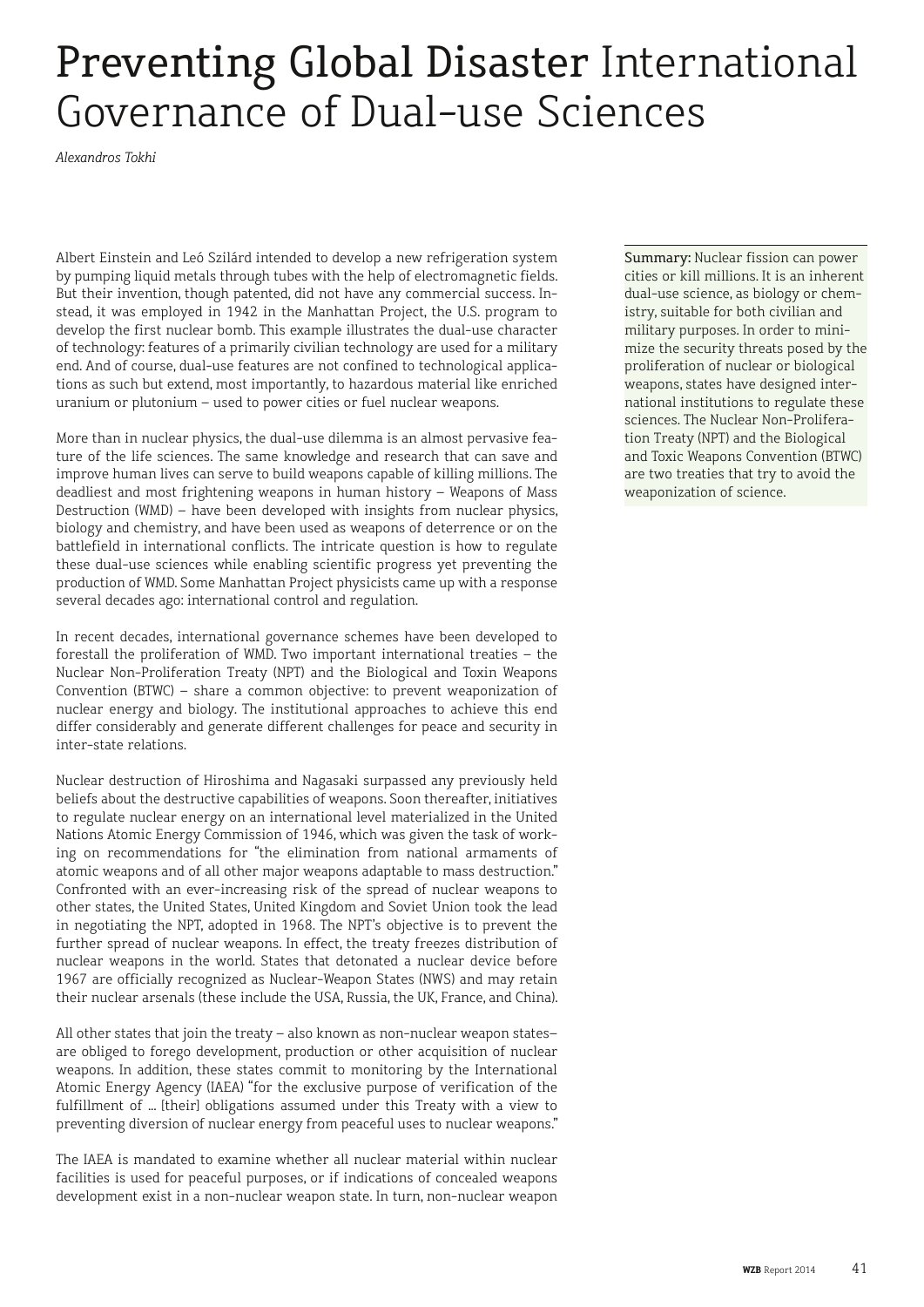## Preventing Global Disaster International Governance of Dual-use Sciences

*Alexandros Tokhi*

Albert Einstein and Leó Szilárd intended to develop a new refrigeration system by pumping liquid metals through tubes with the help of electromagnetic fields. But their invention, though patented, did not have any commercial success. Instead, it was employed in 1942 in the Manhattan Project, the U.S. program to develop the first nuclear bomb. This example illustrates the dual-use character of technology: features of a primarily civilian technology are used for a military end. And of course, dual-use features are not confined to technological applications as such but extend, most importantly, to hazardous material like enriched uranium or plutonium – used to power cities or fuel nuclear weapons.

More than in nuclear physics, the dual-use dilemma is an almost pervasive feature of the life sciences. The same knowledge and research that can save and improve human lives can serve to build weapons capable of killing millions. The deadliest and most frightening weapons in human history – Weapons of Mass Destruction (WMD) – have been developed with insights from nuclear physics, biology and chemistry, and have been used as weapons of deterrence or on the battlefield in international conflicts. The intricate question is how to regulate these dual-use sciences while enabling scientific progress yet preventing the production of WMD. Some Manhattan Project physicists came up with a response several decades ago: international control and regulation.

In recent decades, international governance schemes have been developed to forestall the proliferation of WMD. Two important international treaties – the Nuclear Non-Proliferation Treaty (NPT) and the Biological and Toxin Weapons Convention (BTWC) – share a common objective: to prevent weaponization of nuclear energy and biology. The institutional approaches to achieve this end differ considerably and generate different challenges for peace and security in inter-state relations.

Nuclear destruction of Hiroshima and Nagasaki surpassed any previously held beliefs about the destructive capabilities of weapons. Soon thereafter, initiatives to regulate nuclear energy on an international level materialized in the United Nations Atomic Energy Commission of 1946, which was given the task of working on recommendations for "the elimination from national armaments of atomic weapons and of all other major weapons adaptable to mass destruction." Confronted with an ever-increasing risk of the spread of nuclear weapons to other states, the United States, United Kingdom and Soviet Union took the lead in negotiating the NPT, adopted in 1968. The NPT's objective is to prevent the further spread of nuclear weapons. In effect, the treaty freezes distribution of nuclear weapons in the world. States that detonated a nuclear device before 1967 are officially recognized as Nuclear-Weapon States (NWS) and may retain their nuclear arsenals (these include the USA, Russia, the UK, France, and China).

All other states that join the treaty – also known as non-nuclear weapon states– are obliged to forego development, production or other acquisition of nuclear weapons. In addition, these states commit to monitoring by the International Atomic Energy Agency (IAEA) "for the exclusive purpose of verification of the fulfillment of ... [their] obligations assumed under this Treaty with a view to preventing diversion of nuclear energy from peaceful uses to nuclear weapons."

The IAEA is mandated to examine whether all nuclear material within nuclear facilities is used for peaceful purposes, or if indications of concealed weapons development exist in a non-nuclear weapon state. In turn, non-nuclear weapon

Summary: Nuclear fission can power cities or kill millions. It is an inherent dual-use science, as biology or chemistry, suitable for both civilian and military purposes. In order to minimize the security threats posed by the proliferation of nuclear or biological weapons, states have designed international institutions to regulate these sciences. The Nuclear Non-Proliferation Treaty (NPT) and the Biological and Toxic Weapons Convention (BTWC) are two treaties that try to avoid the weaponization of science.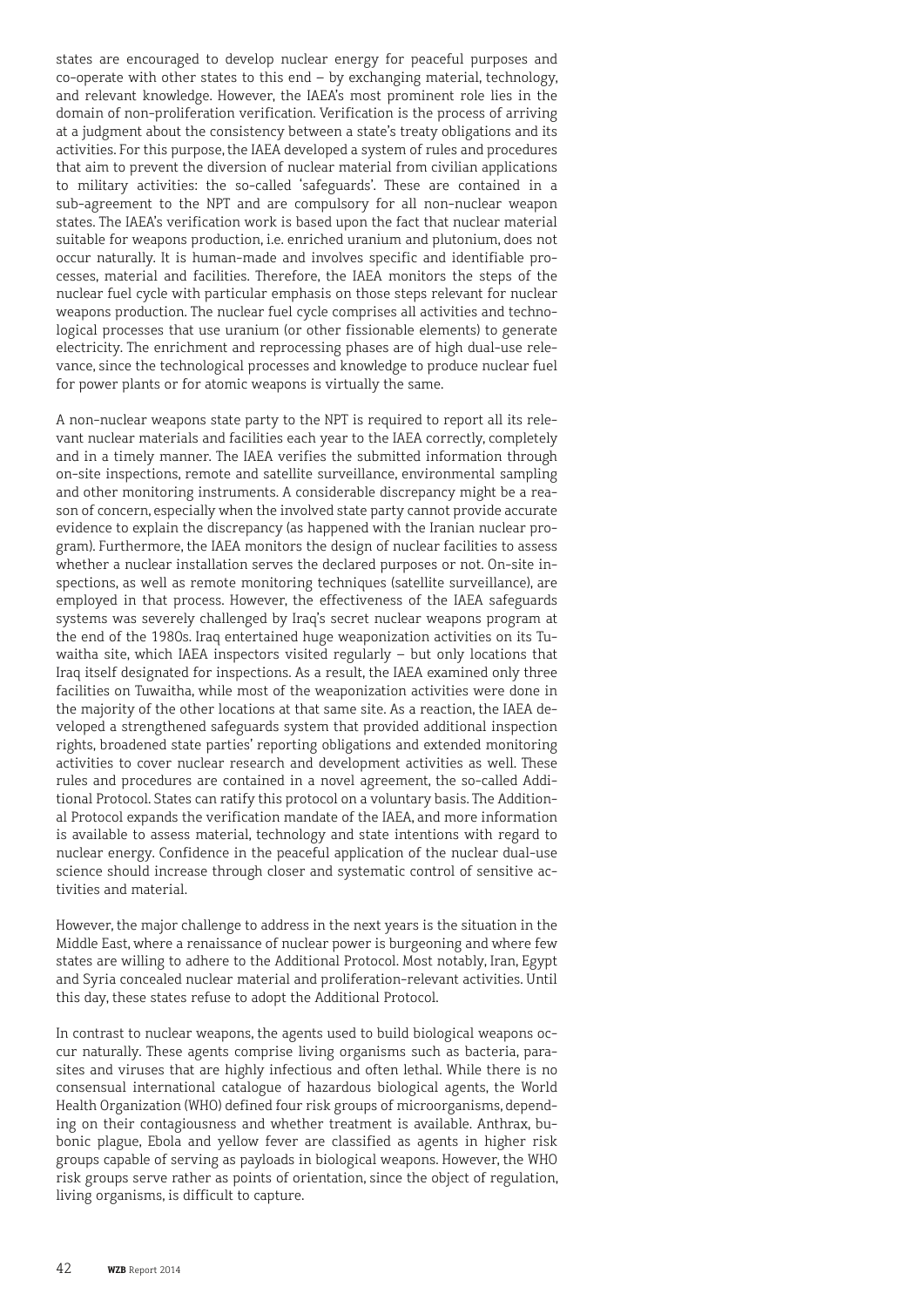states are encouraged to develop nuclear energy for peaceful purposes and co-operate with other states to this end – by exchanging material, technology, and relevant knowledge. However, the IAEA's most prominent role lies in the domain of non-proliferation verification. Verification is the process of arriving at a judgment about the consistency between a state's treaty obligations and its activities. For this purpose, the IAEA developed a system of rules and procedures that aim to prevent the diversion of nuclear material from civilian applications to military activities: the so-called 'safeguards'. These are contained in a sub-agreement to the NPT and are compulsory for all non-nuclear weapon states. The IAEA's verification work is based upon the fact that nuclear material suitable for weapons production, i.e. enriched uranium and plutonium, does not occur naturally. It is human-made and involves specific and identifiable processes, material and facilities. Therefore, the IAEA monitors the steps of the nuclear fuel cycle with particular emphasis on those steps relevant for nuclear weapons production. The nuclear fuel cycle comprises all activities and technological processes that use uranium (or other fissionable elements) to generate electricity. The enrichment and reprocessing phases are of high dual-use relevance, since the technological processes and knowledge to produce nuclear fuel for power plants or for atomic weapons is virtually the same.

A non-nuclear weapons state party to the NPT is required to report all its relevant nuclear materials and facilities each year to the IAEA correctly, completely and in a timely manner. The IAEA verifies the submitted information through on-site inspections, remote and satellite surveillance, environmental sampling and other monitoring instruments. A considerable discrepancy might be a reason of concern, especially when the involved state party cannot provide accurate evidence to explain the discrepancy (as happened with the Iranian nuclear program). Furthermore, the IAEA monitors the design of nuclear facilities to assess whether a nuclear installation serves the declared purposes or not. On-site inspections, as well as remote monitoring techniques (satellite surveillance), are employed in that process. However, the effectiveness of the IAEA safeguards systems was severely challenged by Iraq's secret nuclear weapons program at the end of the 1980s. Iraq entertained huge weaponization activities on its Tuwaitha site, which IAEA inspectors visited regularly – but only locations that Iraq itself designated for inspections. As a result, the IAEA examined only three facilities on Tuwaitha, while most of the weaponization activities were done in the majority of the other locations at that same site. As a reaction, the IAEA developed a strengthened safeguards system that provided additional inspection rights, broadened state parties' reporting obligations and extended monitoring activities to cover nuclear research and development activities as well. These rules and procedures are contained in a novel agreement, the so-called Additional Protocol. States can ratify this protocol on a voluntary basis. The Additional Protocol expands the verification mandate of the IAEA, and more information is available to assess material, technology and state intentions with regard to nuclear energy. Confidence in the peaceful application of the nuclear dual-use science should increase through closer and systematic control of sensitive activities and material.

However, the major challenge to address in the next years is the situation in the Middle East, where a renaissance of nuclear power is burgeoning and where few states are willing to adhere to the Additional Protocol. Most notably, Iran, Egypt and Syria concealed nuclear material and proliferation-relevant activities. Until this day, these states refuse to adopt the Additional Protocol.

In contrast to nuclear weapons, the agents used to build biological weapons occur naturally. These agents comprise living organisms such as bacteria, parasites and viruses that are highly infectious and often lethal. While there is no consensual international catalogue of hazardous biological agents, the World Health Organization (WHO) defined four risk groups of microorganisms, depending on their contagiousness and whether treatment is available. Anthrax, bubonic plague, Ebola and yellow fever are classified as agents in higher risk groups capable of serving as payloads in biological weapons. However, the WHO risk groups serve rather as points of orientation, since the object of regulation, living organisms, is difficult to capture.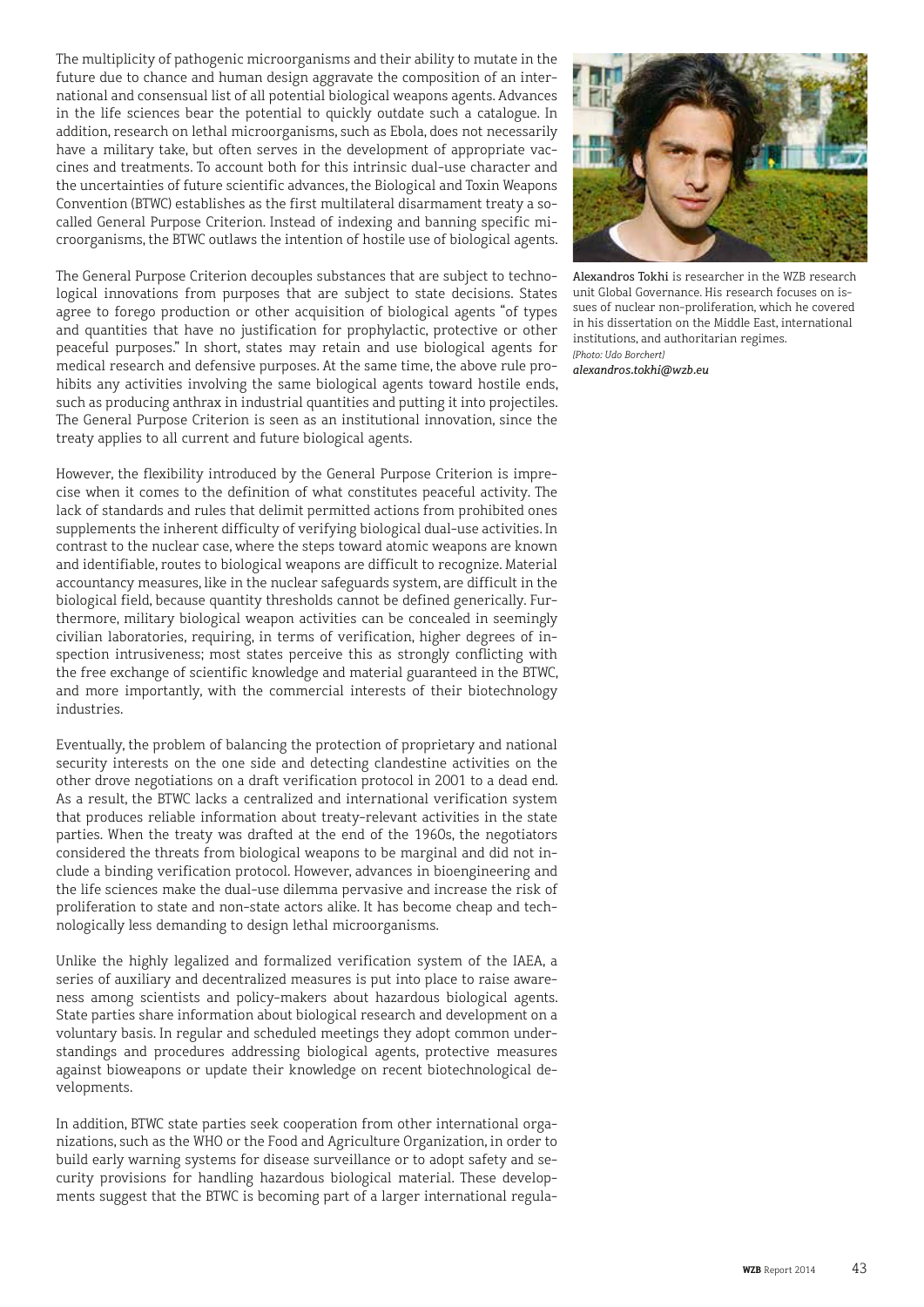The multiplicity of pathogenic microorganisms and their ability to mutate in the future due to chance and human design aggravate the composition of an inter national and consensual list of all potential biological weapons agents. Advances in the life sciences bear the potential to quickly outdate such a catalogue. In addition, research on lethal microorganisms, such as Ebola, does not necessarily have a military take, but often serves in the development of appropriate vac cines and treatments. To account both for this intrinsic dual-use character and the uncertainties of future scientific advances, the Biological and Toxin Weapons Convention (BTWC) establishes as the first multilateral disarmament treaty a socalled General Purpose Criterion. Instead of indexing and banning specific microorganisms, the BTWC outlaws the intention of hostile use of biological agents.

The General Purpose Criterion decouples substances that are subject to techno logical innovations from purposes that are subject to state decisions. States agree to forego production or other acquisition of biological agents "of types and quantities that have no justification for prophylactic, protective or other peaceful purposes." In short, states may retain and use biological agents for medical research and defensive purposes. At the same time, the above rule pro hibits any activities involving the same biological agents toward hostile ends, such as producing anthrax in industrial quantities and putting it into projectiles. The General Purpose Criterion is seen as an institutional innovation, since the treaty applies to all current and future biological agents.

However, the flexibility introduced by the General Purpose Criterion is impre cise when it comes to the definition of what constitutes peaceful activity. The lack of standards and rules that delimit permitted actions from prohibited ones supplements the inherent difficulty of verifying biological dual-use activities. In contrast to the nuclear case, where the steps toward atomic weapons are known and identifiable, routes to biological weapons are difficult to recognize. Material accountancy measures, like in the nuclear safeguards system, are difficult in the biological field, because quantity thresholds cannot be defined generically. Fur thermore, military biological weapon activities can be concealed in seemingly civilian laboratories, requiring, in terms of verification, higher degrees of in spection intrusiveness; most states perceive this as strongly conflicting with the free exchange of scientific knowledge and material guaranteed in the BTWC, and more importantly, with the commercial interests of their biotechnology industries.

Eventually, the problem of balancing the protection of proprietary and national security interests on the one side and detecting clandestine activities on the other drove negotiations on a draft verification protocol in 2001 to a dead end. As a result, the BTWC lacks a centralized and international verification system that produces reliable information about treaty-relevant activities in the state parties. When the treaty was drafted at the end of the 1960s, the negotiators considered the threats from biological weapons to be marginal and did not in clude a binding verification protocol. However, advances in bioengineering and the life sciences make the dual-use dilemma pervasive and increase the risk of proliferation to state and non-state actors alike. It has become cheap and tech nologically less demanding to design lethal microorganisms.

Unlike the highly legalized and formalized verification system of the IAEA, a series of auxiliary and decentralized measures is put into place to raise aware ness among scientists and policy-makers about hazardous biological agents. State parties share information about biological research and development on a voluntary basis. In regular and scheduled meetings they adopt common under standings and procedures addressing biological agents, protective measures against bioweapons or update their knowledge on recent biotechnological de velopments.

In addition, BTWC state parties seek cooperation from other international orga nizations, such as the WHO or the Food and Agriculture Organization, in order to build early warning systems for disease surveillance or to adopt safety and se curity provisions for handling hazardous biological material. These develop ments suggest that the BTWC is becoming part of a larger international regula -



Alexandros Tokhi is researcher in the WZB research unit Global Governance. His research focuses on is sues of nuclear non-proliferation, which he covered in his dissertation on the Middle East, international institutions, and authoritarian regimes. *[Photo: Udo Borchert]*

*alexandros.tokhi@wzb.eu*